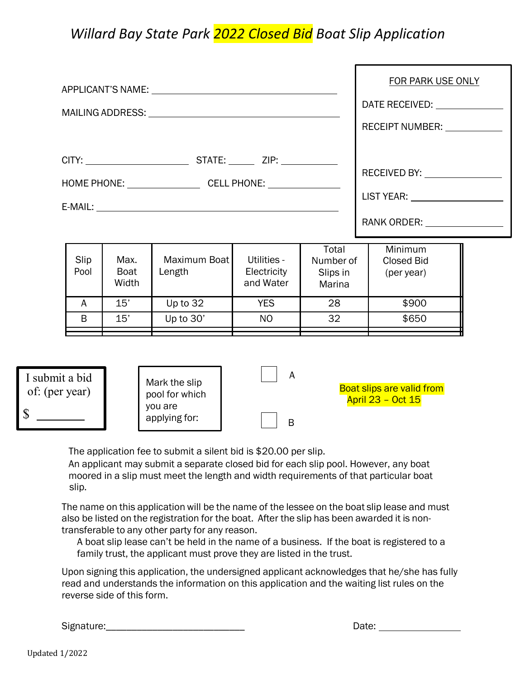## *Willard Bay State Park 2022 Closed Bid Boat Slip Application*

|                                                     |                              |                                 |                                         |                                          | <b>FOR PARK USE ONLY</b>                                     |
|-----------------------------------------------------|------------------------------|---------------------------------|-----------------------------------------|------------------------------------------|--------------------------------------------------------------|
| MAILING ADDRESS: University of the MAILING ADDRESS: |                              |                                 |                                         |                                          |                                                              |
|                                                     |                              |                                 |                                         |                                          | RECEIPT NUMBER: ___________                                  |
|                                                     |                              |                                 |                                         |                                          |                                                              |
|                                                     |                              |                                 |                                         |                                          | RECEIVED BY: <u>__________________</u>                       |
|                                                     |                              |                                 |                                         |                                          | LIST YEAR: _____________________                             |
|                                                     |                              |                                 |                                         |                                          | RANK ORDER: ________________                                 |
| Slip<br>Pool                                        | Max.<br><b>Boat</b><br>Width | Maximum Boat<br>Length          | Utilities -<br>Electricity<br>and Water | Total<br>Number of<br>Slips in<br>Marina | Minimum<br><b>Closed Bid</b><br>(per year)                   |
|                                                     |                              |                                 |                                         |                                          |                                                              |
| A<br>B                                              | 15'<br>15'                   | Up to 32<br>Up to 30'           | <b>YES</b><br>N <sub>O</sub>            | 28<br>32                                 | \$900<br>\$650                                               |
|                                                     |                              |                                 |                                         |                                          |                                                              |
| I submit a bid<br>of: (per year)                    |                              | Mark the slip<br>pool for which | A                                       |                                          | <b>Boat slips are valid from</b><br><b>April 23 - Oct 15</b> |

B

The application fee to submit a silent bid is \$20.00 per slip.

you are applying for:

An applicant may submit a separate closed bid for each slip pool. However, any boat moored in a slip must meet the length and width requirements of that particular boat slip.

The name on this application will be the name of the lessee on the boat slip lease and must also be listed on the registration for the boat. After the slip has been awarded it is nontransferable to any other party for any reason.

A boat slip lease can't be held in the name of a business. If the boat is registered to a family trust, the applicant must prove they are listed in the trust.

Upon signing this application, the undersigned applicant acknowledges that he/she has fully read and understands the information on this application and the waiting list rules on the reverse side of this form.

Signature:

| Date: |  |
|-------|--|
|       |  |

\$